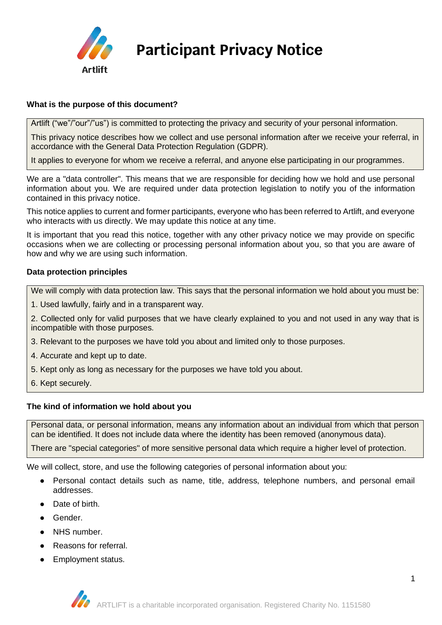

# **Participant Privacy Notice**

# **What is the purpose of this document?**

Artlift ("we"/"our"/"us") is committed to protecting the privacy and security of your personal information.

This privacy notice describes how we collect and use personal information after we receive your referral, in accordance with the General Data Protection Regulation (GDPR).

It applies to everyone for whom we receive a referral, and anyone else participating in our programmes.

We are a "data controller". This means that we are responsible for deciding how we hold and use personal information about you. We are required under data protection legislation to notify you of the information contained in this privacy notice.

This notice applies to current and former participants, everyone who has been referred to Artlift, and everyone who interacts with us directly. We may update this notice at any time.

It is important that you read this notice, together with any other privacy notice we may provide on specific occasions when we are collecting or processing personal information about you, so that you are aware of how and why we are using such information.

## **Data protection principles**

We will comply with data protection law. This says that the personal information we hold about you must be:

1. Used lawfully, fairly and in a transparent way.

2. Collected only for valid purposes that we have clearly explained to you and not used in any way that is incompatible with those purposes.

- 3. Relevant to the purposes we have told you about and limited only to those purposes.
- 4. Accurate and kept up to date.
- 5. Kept only as long as necessary for the purposes we have told you about.
- 6. Kept securely.

## **The kind of information we hold about you**

Personal data, or personal information, means any information about an individual from which that person can be identified. It does not include data where the identity has been removed (anonymous data).

There are "special categories" of more sensitive personal data which require a higher level of protection.

We will collect, store, and use the following categories of personal information about you:

- Personal contact details such as name, title, address, telephone numbers, and personal email addresses.
- Date of birth.
- Gender.
- NHS number.
- Reasons for referral.
- **Employment status.**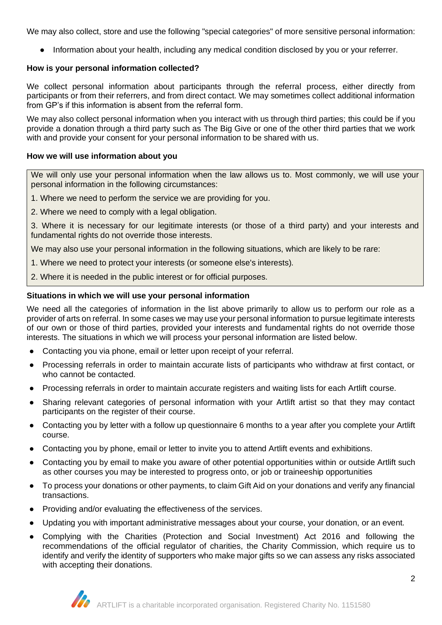We may also collect, store and use the following "special categories" of more sensitive personal information:

● Information about your health, including any medical condition disclosed by you or your referrer.

## **How is your personal information collected?**

We collect personal information about participants through the referral process, either directly from participants or from their referrers, and from direct contact. We may sometimes collect additional information from GP's if this information is absent from the referral form.

We may also collect personal information when you interact with us through third parties; this could be if you provide a donation through a third party such as The Big Give or one of the other third parties that we work with and provide your consent for your personal information to be shared with us.

## **How we will use information about you**

We will only use your personal information when the law allows us to. Most commonly, we will use your personal information in the following circumstances:

- 1. Where we need to perform the service we are providing for you.
- 2. Where we need to comply with a legal obligation.

3. Where it is necessary for our legitimate interests (or those of a third party) and your interests and fundamental rights do not override those interests.

We may also use your personal information in the following situations, which are likely to be rare:

- 1. Where we need to protect your interests (or someone else's interests).
- 2. Where it is needed in the public interest or for official purposes.

## **Situations in which we will use your personal information**

We need all the categories of information in the list above primarily to allow us to perform our role as a provider of arts on referral. In some cases we may use your personal information to pursue legitimate interests of our own or those of third parties, provided your interests and fundamental rights do not override those interests. The situations in which we will process your personal information are listed below.

- Contacting you via phone, email or letter upon receipt of your referral.
- Processing referrals in order to maintain accurate lists of participants who withdraw at first contact, or who cannot be contacted.
- Processing referrals in order to maintain accurate registers and waiting lists for each Artlift course.
- Sharing relevant categories of personal information with your Artlift artist so that they may contact participants on the register of their course.
- Contacting you by letter with a follow up questionnaire 6 months to a year after you complete your Artlift course.
- Contacting you by phone, email or letter to invite you to attend Artlift events and exhibitions.
- Contacting you by email to make you aware of other potential opportunities within or outside Artlift such as other courses you may be interested to progress onto, or job or traineeship opportunities
- To process your donations or other payments, to claim Gift Aid on your donations and verify any financial transactions.
- Providing and/or evaluating the effectiveness of the services.
- Updating you with important administrative messages about your course, your donation, or an event.
- Complying with the Charities (Protection and Social Investment) Act 2016 and following the recommendations of the official regulator of charities, the Charity Commission, which require us to identify and verify the identity of supporters who make major gifts so we can assess any risks associated with accepting their donations.

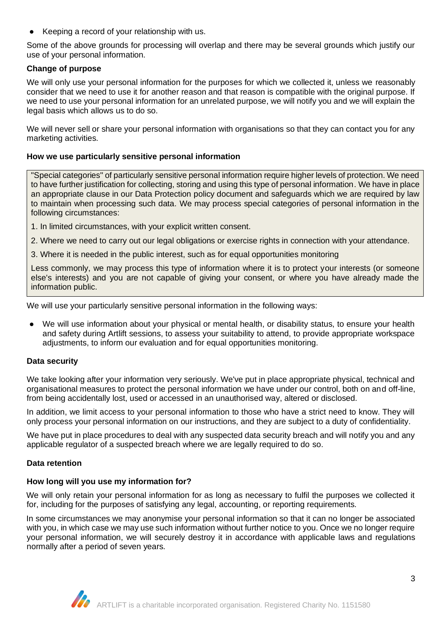Keeping a record of your relationship with us.

Some of the above grounds for processing will overlap and there may be several grounds which justify our use of your personal information.

# **Change of purpose**

We will only use your personal information for the purposes for which we collected it, unless we reasonably consider that we need to use it for another reason and that reason is compatible with the original purpose. If we need to use your personal information for an unrelated purpose, we will notify you and we will explain the legal basis which allows us to do so.

We will never sell or share your personal information with organisations so that they can contact you for any marketing activities.

## **How we use particularly sensitive personal information**

"Special categories" of particularly sensitive personal information require higher levels of protection. We need to have further justification for collecting, storing and using this type of personal information. We have in place an appropriate clause in our Data Protection policy document and safeguards which we are required by law to maintain when processing such data. We may process special categories of personal information in the following circumstances:

- 1. In limited circumstances, with your explicit written consent.
- 2. Where we need to carry out our legal obligations or exercise rights in connection with your attendance.
- 3. Where it is needed in the public interest, such as for equal opportunities monitoring

Less commonly, we may process this type of information where it is to protect your interests (or someone else's interests) and you are not capable of giving your consent, or where you have already made the information public.

We will use your particularly sensitive personal information in the following ways:

We will use information about your physical or mental health, or disability status, to ensure your health and safety during Artlift sessions, to assess your suitability to attend, to provide appropriate workspace adjustments, to inform our evaluation and for equal opportunities monitoring.

## **Data security**

We take looking after your information very seriously. We've put in place appropriate physical, technical and organisational measures to protect the personal information we have under our control, both on and off-line, from being accidentally lost, used or accessed in an unauthorised way, altered or disclosed.

In addition, we limit access to your personal information to those who have a strict need to know. They will only process your personal information on our instructions, and they are subject to a duty of confidentiality.

We have put in place procedures to deal with any suspected data security breach and will notify you and any applicable regulator of a suspected breach where we are legally required to do so.

## **Data retention**

## **How long will you use my information for?**

We will only retain your personal information for as long as necessary to fulfil the purposes we collected it for, including for the purposes of satisfying any legal, accounting, or reporting requirements.

In some circumstances we may anonymise your personal information so that it can no longer be associated with you, in which case we may use such information without further notice to you. Once we no longer require your personal information, we will securely destroy it in accordance with applicable laws and regulations normally after a period of seven years.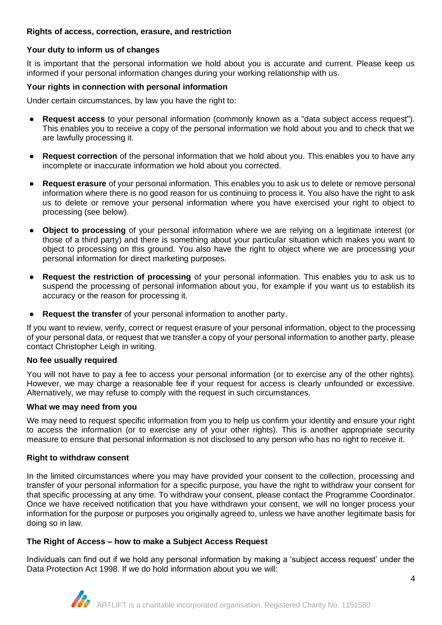## **Rights of access, correction, erasure, and restriction**

## **Your duty to inform us of changes**

It is important that the personal information we hold about you is accurate and current. Please keep us informed if your personal information changes during your working relationship with us.

#### **Your rights in connection with personal information**

Under certain circumstances, by law you have the right to:

- **Request access** to your personal information (commonly known as a "data subject access request"). This enables you to receive a copy of the personal information we hold about you and to check that we are lawfully processing it.
- **Request correction** of the personal information that we hold about you. This enables you to have any incomplete or inaccurate information we hold about you corrected.
- **Request erasure** of your personal information. This enables you to ask us to delete or remove personal information where there is no good reason for us continuing to process it. You also have the right to ask us to delete or remove your personal information where you have exercised your right to object to processing (see below).
- **Object to processing** of your personal information where we are relying on a legitimate interest (or those of a third party) and there is something about your particular situation which makes you want to object to processing on this ground. You also have the right to object where we are processing your personal information for direct marketing purposes.
- **Request the restriction of processing** of your personal information. This enables you to ask us to suspend the processing of personal information about you, for example if you want us to establish its accuracy or the reason for processing it.
- **Request the transfer** of your personal information to another party.

If you want to review, verify, correct or request erasure of your personal information, object to the processing of your personal data, or request that we transfer a copy of your personal information to another party, please contact Christopher Leigh in writing.

#### **No fee usually required**

You will not have to pay a fee to access your personal information (or to exercise any of the other rights). However, we may charge a reasonable fee if your request for access is clearly unfounded or excessive. Alternatively, we may refuse to comply with the request in such circumstances.

#### **What we may need from you**

We may need to request specific information from you to help us confirm your identity and ensure your right to access the information (or to exercise any of your other rights). This is another appropriate security measure to ensure that personal information is not disclosed to any person who has no right to receive it.

## **Right to withdraw consent**

In the limited circumstances where you may have provided your consent to the collection, processing and transfer of your personal information for a specific purpose, you have the right to withdraw your consent for that specific processing at any time. To withdraw your consent, please contact the Programme Coordinator. Once we have received notification that you have withdrawn your consent, we will no longer process your information for the purpose or purposes you originally agreed to, unless we have another legitimate basis for doing so in law.

## **The Right of Access – how to make a Subject Access Request**

Individuals can find out if we hold any personal information by making a 'subject access request' under the Data Protection Act 1998. If we do hold information about you we will: